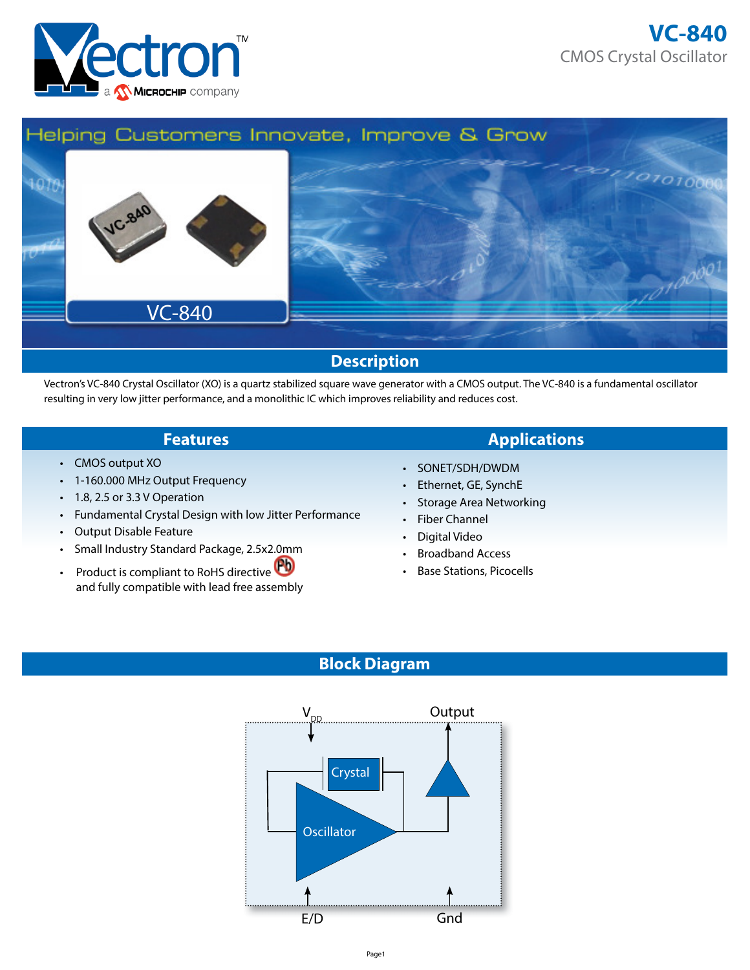



Vectron's VC-840 Crystal Oscillator (XO) is a quartz stabilized square wave generator with a CMOS output. The VC-840 is a fundamental oscillator resulting in very low jitter performance, and a monolithic IC which improves reliability and reduces cost.

- CMOS output XO
- 1-160.000 MHz Output Frequency
- 1.8, 2.5 or 3.3 V Operation
- Fundamental Crystal Design with low Jitter Performance
- Output Disable Feature
- Small Industry Standard Package, 2.5x2.0mm
- Product is compliant to RoHS directive and fully compatible with lead free assembly

## **Features Applications**

- SONET/SDH/DWDM
- Ethernet, GE, SynchE
- Storage Area Networking
- Fiber Channel
- Digital Video
- Broadband Access
- Base Stations, Picocells

## **Block Diagram**

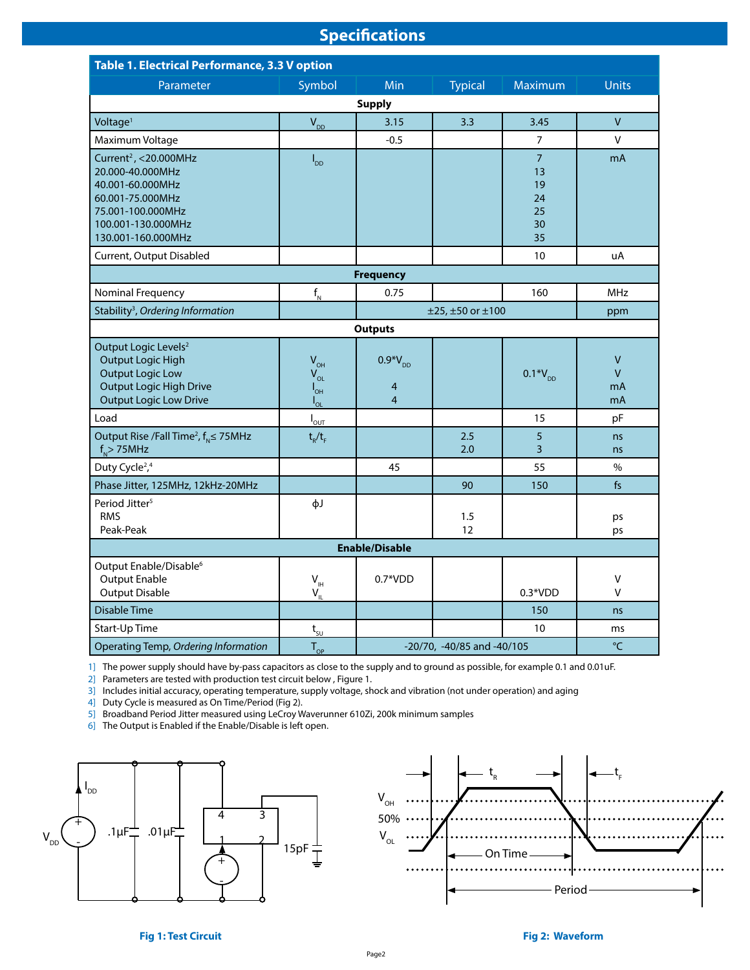# **Specifications**

| Table 1. Electrical Performance, 3.3 V option                                                                                                                  |                                                     |                                            |                |                                                    |                                          |  |  |
|----------------------------------------------------------------------------------------------------------------------------------------------------------------|-----------------------------------------------------|--------------------------------------------|----------------|----------------------------------------------------|------------------------------------------|--|--|
| Parameter                                                                                                                                                      | Symbol                                              | Min                                        | <b>Typical</b> | Maximum                                            | <b>Units</b>                             |  |  |
| <b>Supply</b>                                                                                                                                                  |                                                     |                                            |                |                                                    |                                          |  |  |
| Voltage <sup>1</sup>                                                                                                                                           | $V_{DD}$                                            | 3.15                                       | 3.3            | 3.45                                               | $\overline{V}$                           |  |  |
| Maximum Voltage                                                                                                                                                |                                                     | $-0.5$                                     |                | 7                                                  | V                                        |  |  |
| Current <sup>2</sup> , <20.000MHz<br>20.000-40.000MHz<br>40.001-60.000MHz<br>60.001-75.000MHz<br>75.001-100.000MHz<br>100.001-130.000MHz<br>130.001-160.000MHz | $I_{DD}$                                            |                                            |                | $\overline{7}$<br>13<br>19<br>24<br>25<br>30<br>35 | mA                                       |  |  |
| Current, Output Disabled                                                                                                                                       |                                                     |                                            |                | 10 <sup>°</sup>                                    | uA                                       |  |  |
|                                                                                                                                                                |                                                     | <b>Frequency</b>                           |                |                                                    |                                          |  |  |
| Nominal Frequency                                                                                                                                              | $\mathsf{f}_{_{\sf N}}$                             | 0.75                                       |                | 160                                                | <b>MHz</b>                               |  |  |
| Stability <sup>3</sup> , Ordering Information                                                                                                                  | $±25, ±50$ or $±100$                                |                                            |                |                                                    | ppm                                      |  |  |
|                                                                                                                                                                |                                                     | <b>Outputs</b>                             |                |                                                    |                                          |  |  |
| Output Logic Levels <sup>2</sup><br><b>Output Logic High</b><br><b>Output Logic Low</b><br><b>Output Logic High Drive</b><br><b>Output Logic Low Drive</b>     | $V_{OH}$<br>$V_{OL}$<br>$I_{\text{OH}}$<br>$I_{OL}$ | $0.9*V_{DD}$<br>4<br>$\overline{4}$        |                | $0.1*V_{DD}$                                       | $\mathsf{V}$<br>$\mathsf{V}$<br>mA<br>mA |  |  |
| Load                                                                                                                                                           | $I_{\underline{\text{out}}}$                        |                                            |                | 15                                                 | pF                                       |  |  |
| Output Rise /Fall Time <sup>2</sup> , $f_{N} \le 75 MHz$<br>$f_{N}$ > 75MHz                                                                                    | $t_R/t_F$                                           |                                            | 2.5<br>2.0     | 5<br>3                                             | ns<br>ns                                 |  |  |
| Duty Cycle <sup>2</sup> , <sup>4</sup>                                                                                                                         |                                                     | 45                                         |                | 55                                                 | $\%$                                     |  |  |
| Phase Jitter, 125MHz, 12kHz-20MHz                                                                                                                              |                                                     |                                            | 90             | 150                                                | fs                                       |  |  |
| Period Jitter <sup>5</sup><br><b>RMS</b><br>Peak-Peak                                                                                                          | фJ                                                  |                                            | 1.5<br>12      |                                                    | ps<br>ps                                 |  |  |
| <b>Enable/Disable</b>                                                                                                                                          |                                                     |                                            |                |                                                    |                                          |  |  |
| Output Enable/Disable <sup>6</sup><br><b>Output Enable</b><br><b>Output Disable</b>                                                                            | $V_{\text{IH}}$<br>$V_{IL}$                         | $0.7*VDD$                                  |                | $0.3*VDD$                                          | ٧<br>v                                   |  |  |
| <b>Disable Time</b>                                                                                                                                            |                                                     |                                            |                | 150                                                | ns                                       |  |  |
| Start-Up Time                                                                                                                                                  | $t_{\rm SU}$                                        |                                            |                | 10 <sup>°</sup>                                    | ms                                       |  |  |
| Operating Temp, Ordering Information                                                                                                                           | $T_{OP}$                                            | $\mathrm{C}$<br>-20/70, -40/85 and -40/105 |                |                                                    |                                          |  |  |

1] The power supply should have by-pass capacitors as close to the supply and to ground as possible, for example 0.1 and 0.01uF.

2] Parameters are tested with production test circuit below , Figure 1.

3] Includes initial accuracy, operating temperature, supply voltage, shock and vibration (not under operation) and aging

4] Duty Cycle is measured as On Time/Period (Fig 2).

5] Broadband Period Jitter measured using LeCroy Waverunner 610Zi, 200k minimum samples

6] The Output is Enabled if the Enable/Disable is left open.



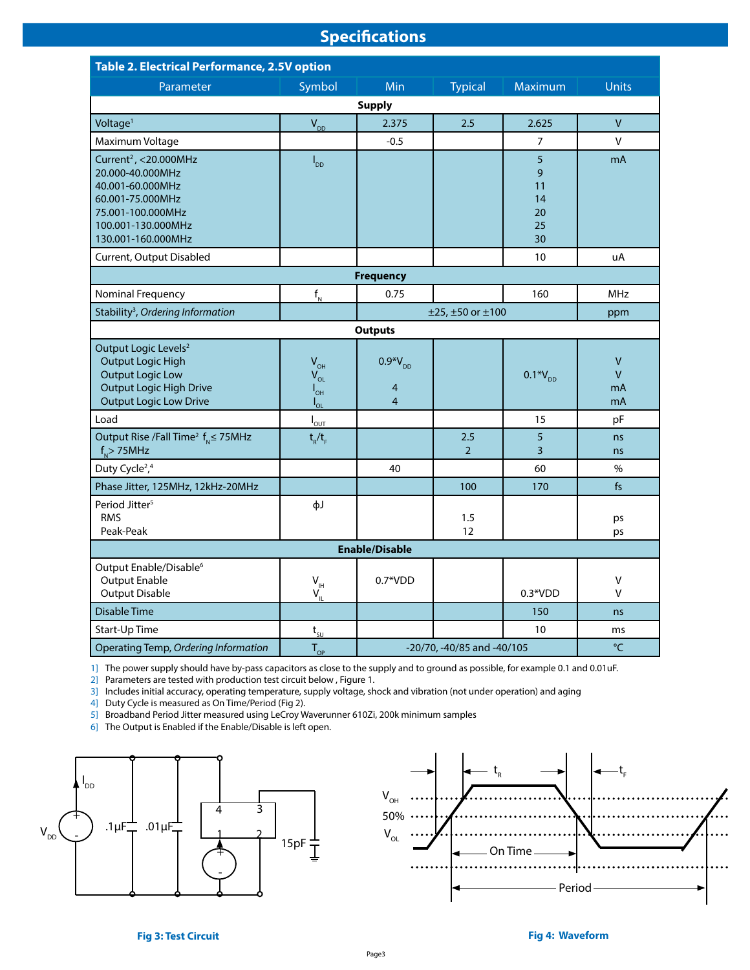# **Specifications**

| Table 2. Electrical Performance, 2.5V option                                                                                                                   |                                                                |                                                  |                       |                                      |                                          |  |  |  |
|----------------------------------------------------------------------------------------------------------------------------------------------------------------|----------------------------------------------------------------|--------------------------------------------------|-----------------------|--------------------------------------|------------------------------------------|--|--|--|
| Parameter                                                                                                                                                      | Symbol                                                         | Min                                              | <b>Typical</b>        | Maximum                              | <b>Units</b>                             |  |  |  |
| <b>Supply</b>                                                                                                                                                  |                                                                |                                                  |                       |                                      |                                          |  |  |  |
| Voltage <sup>1</sup>                                                                                                                                           | $V_{DD}$                                                       | 2.375                                            | 2.5                   | 2.625                                | $\vee$                                   |  |  |  |
| Maximum Voltage                                                                                                                                                |                                                                | $-0.5$                                           |                       | 7                                    | V                                        |  |  |  |
| Current <sup>2</sup> , <20.000MHz<br>20.000-40.000MHz<br>40.001-60.000MHz<br>60.001-75.000MHz<br>75.001-100.000MHz<br>100.001-130.000MHz<br>130.001-160.000MHz | $I_{DD}$                                                       |                                                  |                       | 5<br>9<br>11<br>14<br>20<br>25<br>30 | mA                                       |  |  |  |
| Current, Output Disabled                                                                                                                                       |                                                                |                                                  |                       | 10 <sup>10</sup>                     | uA                                       |  |  |  |
|                                                                                                                                                                |                                                                | <b>Frequency</b>                                 |                       |                                      |                                          |  |  |  |
| Nominal Frequency                                                                                                                                              | $f_{N}$                                                        | 0.75                                             |                       | 160                                  | <b>MHz</b>                               |  |  |  |
| Stability <sup>3</sup> , Ordering Information                                                                                                                  | $±25, ±50$ or $±100$                                           |                                                  |                       |                                      | ppm                                      |  |  |  |
|                                                                                                                                                                |                                                                | <b>Outputs</b>                                   |                       |                                      |                                          |  |  |  |
| Output Logic Levels <sup>2</sup><br>Output Logic High<br><b>Output Logic Low</b><br><b>Output Logic High Drive</b><br><b>Output Logic Low Drive</b>            | $V_{\text{OH}}$<br>$V_{OL}$<br>$I_{\text{OH}}$<br>$I_{\Omega}$ | $0.9*V_{DD}$<br>$\overline{4}$<br>$\overline{4}$ |                       | $0.1*V_{DD}$                         | $\mathsf{V}$<br>$\mathsf{V}$<br>mA<br>mA |  |  |  |
| Load                                                                                                                                                           | $I_{\text{OUT}}$                                               |                                                  |                       | 15                                   | pF                                       |  |  |  |
| Output Rise / Fall Time <sup>2</sup> $f_{N} \le 75$ MHz<br>$f_{N}$ > 75MHz                                                                                     | $t_{R}/t_{F}$                                                  |                                                  | 2.5<br>$\overline{2}$ | 5<br>3                               | ns<br>ns                                 |  |  |  |
| Duty Cycle <sup>2</sup> , <sup>4</sup>                                                                                                                         |                                                                | 40                                               |                       | 60                                   | $\%$                                     |  |  |  |
| Phase Jitter, 125MHz, 12kHz-20MHz                                                                                                                              |                                                                |                                                  | 100                   | 170                                  | fs                                       |  |  |  |
| Period Jitter <sup>5</sup><br><b>RMS</b><br>Peak-Peak                                                                                                          | фJ                                                             |                                                  | 1.5<br>12             |                                      | ps<br>ps                                 |  |  |  |
| <b>Enable/Disable</b>                                                                                                                                          |                                                                |                                                  |                       |                                      |                                          |  |  |  |
| Output Enable/Disable <sup>6</sup><br><b>Output Enable</b><br><b>Output Disable</b>                                                                            | $\mathsf{V}_{\mathsf{H}}$<br>$V_{\parallel}$                   | $0.7*VDD$                                        |                       | $0.3*VDD$                            | V<br>v                                   |  |  |  |
| <b>Disable Time</b>                                                                                                                                            |                                                                |                                                  |                       | 150                                  | ns                                       |  |  |  |
| Start-Up Time                                                                                                                                                  | $\mathbf{t}_{\underline{\mathsf{su}}}$                         |                                                  |                       | 10                                   | ms                                       |  |  |  |
| Operating Temp, Ordering Information                                                                                                                           | $T_{OP}$                                                       | $^{\circ}$ C<br>-20/70, -40/85 and -40/105       |                       |                                      |                                          |  |  |  |

1] The power supply should have by-pass capacitors as close to the supply and to ground as possible, for example 0.1 and 0.01uF.

2] Parameters are tested with production test circuit below , Figure 1.

3] Includes initial accuracy, operating temperature, supply voltage, shock and vibration (not under operation) and aging

4] Duty Cycle is measured as On Time/Period (Fig 2).

5] Broadband Period Jitter measured using LeCroy Waverunner 610Zi, 200k minimum samples

6] The Output is Enabled if the Enable/Disable is left open.



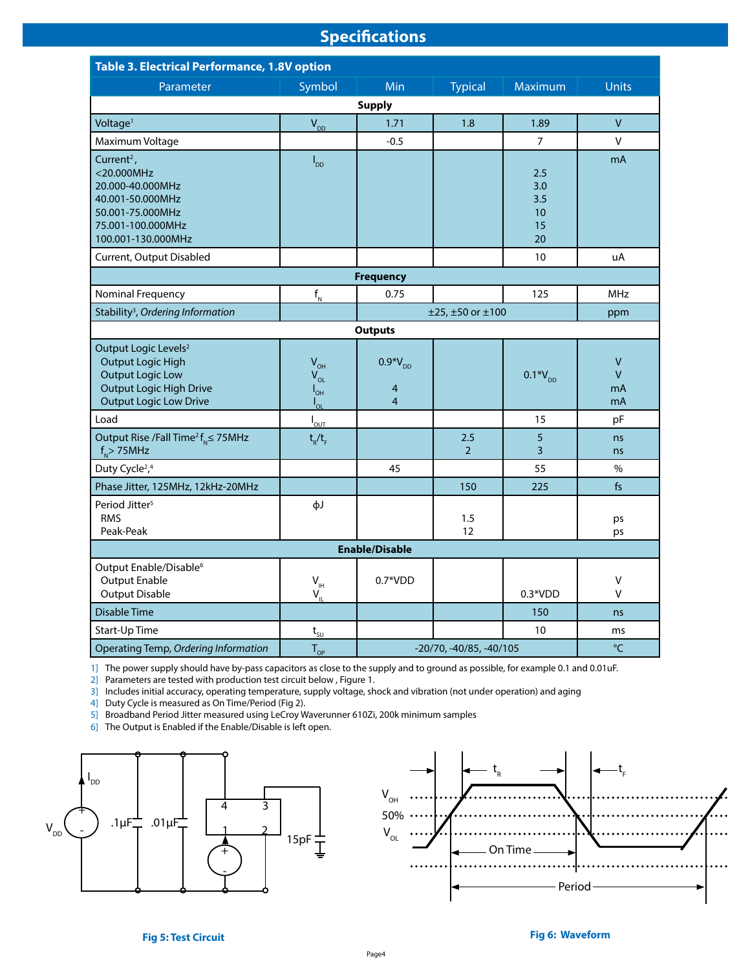# **Specifications**

| Table 3. Electrical Performance, 1.8V option                                                                                                               |                                                     |                                                  |                       |                                     |                         |  |  |  |
|------------------------------------------------------------------------------------------------------------------------------------------------------------|-----------------------------------------------------|--------------------------------------------------|-----------------------|-------------------------------------|-------------------------|--|--|--|
| Parameter                                                                                                                                                  | Symbol                                              | Min                                              | <b>Typical</b>        | Maximum                             | <b>Units</b>            |  |  |  |
| <b>Supply</b>                                                                                                                                              |                                                     |                                                  |                       |                                     |                         |  |  |  |
| Voltage <sup>1</sup>                                                                                                                                       | $V_{DD}$                                            | 1.71                                             | 1.8                   | 1.89                                | $\vee$                  |  |  |  |
| Maximum Voltage                                                                                                                                            |                                                     | $-0.5$                                           |                       | $\overline{7}$                      | V                       |  |  |  |
| Current <sup>2</sup> ,<br><20.000MHz<br>20.000-40.000MHz<br>40.001-50.000MHz<br>50.001-75.000MHz<br>75.001-100.000MHz<br>100.001-130.000MHz                | $I_{DD}$                                            |                                                  |                       | 2.5<br>3.0<br>3.5<br>10<br>15<br>20 | mA                      |  |  |  |
| Current, Output Disabled                                                                                                                                   |                                                     |                                                  |                       | 10                                  | uA                      |  |  |  |
|                                                                                                                                                            |                                                     | <b>Frequency</b>                                 |                       |                                     |                         |  |  |  |
| Nominal Frequency                                                                                                                                          | $f_{N}$                                             | 0.75                                             |                       | 125                                 | <b>MHz</b>              |  |  |  |
| Stability <sup>3</sup> , Ordering Information                                                                                                              | $±25, ±50$ or $±100$                                |                                                  |                       |                                     | ppm                     |  |  |  |
|                                                                                                                                                            |                                                     | <b>Outputs</b>                                   |                       |                                     |                         |  |  |  |
| Output Logic Levels <sup>2</sup><br><b>Output Logic High</b><br><b>Output Logic Low</b><br><b>Output Logic High Drive</b><br><b>Output Logic Low Drive</b> | $V_{OH}$<br>$V_{OL}$<br>$I_{\text{OH}}$<br>$I_{OL}$ | $0.9*V_{DD}$<br>$\overline{4}$<br>$\overline{4}$ |                       | $0.1*V_{DD}$                        | V<br>$\vee$<br>mA<br>mA |  |  |  |
| Load                                                                                                                                                       | $I_{\text{OUT}}$                                    |                                                  |                       | 15                                  | pF                      |  |  |  |
| Output Rise /Fall Time <sup>2</sup> $f_{N} \le 75$ MHz<br>$f_{N}$ > 75MHz                                                                                  | $t_R/t_F$                                           |                                                  | 2.5<br>$\overline{2}$ | 5<br>$\overline{3}$                 | ns<br>ns                |  |  |  |
| Duty Cycle <sup>2</sup> , <sup>4</sup>                                                                                                                     |                                                     | 45                                               |                       | 55                                  | $\%$                    |  |  |  |
| Phase Jitter, 125MHz, 12kHz-20MHz                                                                                                                          |                                                     |                                                  | 150                   | 225                                 | fs                      |  |  |  |
| Period Jitter <sup>5</sup><br><b>RMS</b><br>Peak-Peak                                                                                                      | фJ                                                  |                                                  | 1.5<br>12             |                                     | ps<br>ps                |  |  |  |
| <b>Enable/Disable</b>                                                                                                                                      |                                                     |                                                  |                       |                                     |                         |  |  |  |
| Output Enable/Disable <sup>6</sup><br><b>Output Enable</b><br><b>Output Disable</b>                                                                        | $V_{\text{H}}$<br>$V_{\parallel}$                   | $0.7*VDD$                                        |                       | $0.3*VDD$                           | V<br>v                  |  |  |  |
| <b>Disable Time</b>                                                                                                                                        |                                                     |                                                  |                       | 150                                 | ns                      |  |  |  |
| Start-Up Time                                                                                                                                              | $t_{\underline{su}}$                                |                                                  |                       | 10                                  | ms                      |  |  |  |
| Operating Temp, Ordering Information                                                                                                                       | $T_{OP}$                                            | $^{\circ}$ C<br>$-20/70, -40/85, -40/105$        |                       |                                     |                         |  |  |  |

1] The power supply should have by-pass capacitors as close to the supply and to ground as possible, for example 0.1 and 0.01uF.

2] Parameters are tested with production test circuit below , Figure 1.

3] Includes initial accuracy, operating temperature, supply voltage, shock and vibration (not under operation) and aging

4] Duty Cycle is measured as On Time/Period (Fig 2).

5] Broadband Period Jitter measured using LeCroy Waverunner 610Zi, 200k minimum samples

6] The Output is Enabled if the Enable/Disable is left open.



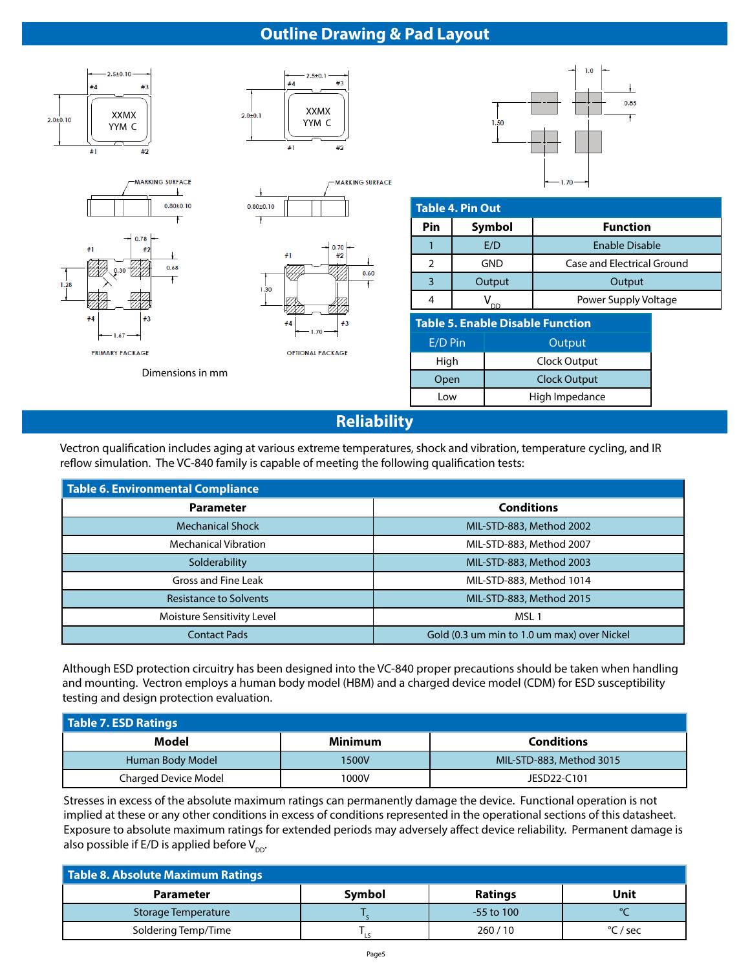### **Outline Drawing & Pad Layout**



**Reliability**

Vectron qualification includes aging at various extreme temperatures, shock and vibration, temperature cycling, and IR reflow simulation. The VC-840 family is capable of meeting the following qualification tests:

| Table 6. Environmental Compliance |                                             |  |  |  |  |  |
|-----------------------------------|---------------------------------------------|--|--|--|--|--|
| <b>Parameter</b>                  | <b>Conditions</b>                           |  |  |  |  |  |
| <b>Mechanical Shock</b>           | MIL-STD-883, Method 2002                    |  |  |  |  |  |
| <b>Mechanical Vibration</b>       | MIL-STD-883, Method 2007                    |  |  |  |  |  |
| Solderability                     | MIL-STD-883, Method 2003                    |  |  |  |  |  |
| Gross and Fine Leak               | MIL-STD-883, Method 1014                    |  |  |  |  |  |
| <b>Resistance to Solvents</b>     | MIL-STD-883, Method 2015                    |  |  |  |  |  |
| Moisture Sensitivity Level        | MSL <sub>1</sub>                            |  |  |  |  |  |
| <b>Contact Pads</b>               | Gold (0.3 um min to 1.0 um max) over Nickel |  |  |  |  |  |

Although ESD protection circuitry has been designed into the VC-840 proper precautions should be taken when handling and mounting. Vectron employs a human body model (HBM) and a charged device model (CDM) for ESD susceptibility testing and design protection evaluation.

| Table 7. ESD Ratings        |         |                          |  |  |  |  |  |
|-----------------------------|---------|--------------------------|--|--|--|--|--|
| Model                       | Minimum | <b>Conditions</b>        |  |  |  |  |  |
| Human Body Model            | 1500V   | MIL-STD-883, Method 3015 |  |  |  |  |  |
| <b>Charged Device Model</b> | 1000V   | JESD22-C101              |  |  |  |  |  |

Stresses in excess of the absolute maximum ratings can permanently damage the device. Functional operation is not implied at these or any other conditions in excess of conditions represented in the operational sections of this datasheet. Exposure to absolute maximum ratings for extended periods may adversely affect device reliability. Permanent damage is also possible if E/D is applied before  $V_{\text{DD}}$ .

| Table 8. Absolute Maximum Ratings |        |                |                   |  |  |  |  |
|-----------------------------------|--------|----------------|-------------------|--|--|--|--|
| <b>Parameter</b>                  | Symbol | <b>Ratings</b> | Unit              |  |  |  |  |
| Storage Temperature               |        | $-55$ to 100   |                   |  |  |  |  |
| Soldering Temp/Time               |        | 260/10         | $\degree$ C / sec |  |  |  |  |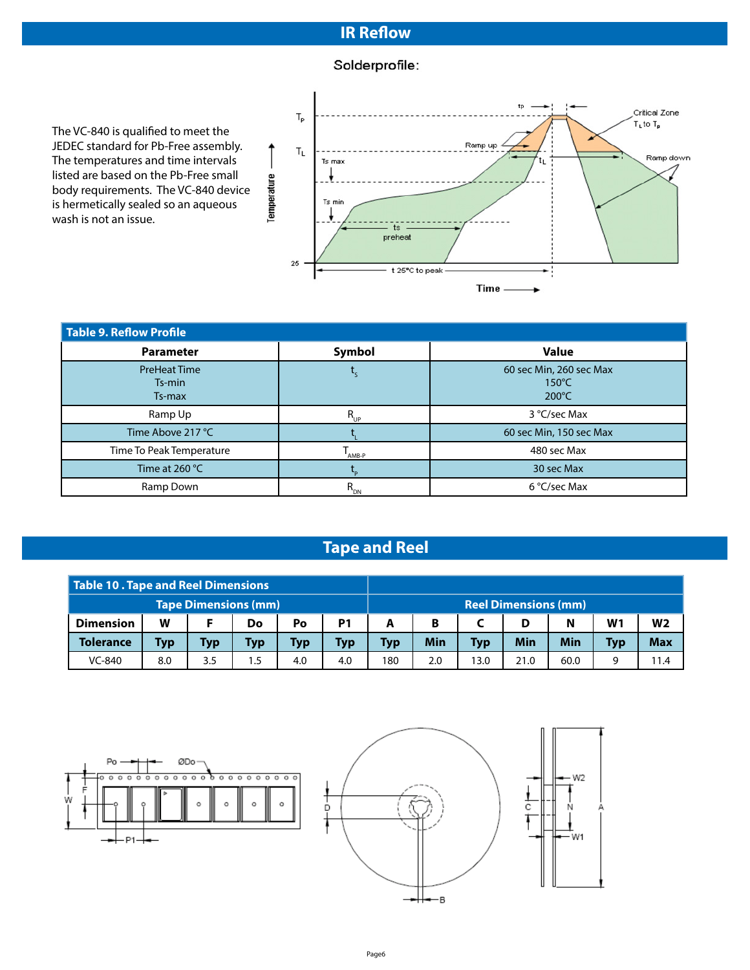# **IR Reflow**

# Solderprofile:

The VC-840 is qualified to meet the JEDEC standard for Pb-Free assembly. The temperatures and time intervals listed are based on the Pb-Free small body requirements. The VC-840 device is hermetically sealed so an aqueous wash is not an issue.



| Table 9. Reflow Profile                 |                    |                                                               |  |  |  |  |  |
|-----------------------------------------|--------------------|---------------------------------------------------------------|--|--|--|--|--|
| <b>Parameter</b>                        | Symbol             | <b>Value</b>                                                  |  |  |  |  |  |
| <b>PreHeat Time</b><br>Ts-min<br>Ts-max |                    | 60 sec Min, 260 sec Max<br>$150^{\circ}$ C<br>$200^{\circ}$ C |  |  |  |  |  |
| Ramp Up                                 | $R_{_{UP}}$        | 3 °C/sec Max                                                  |  |  |  |  |  |
| Time Above 217 °C                       |                    | 60 sec Min, 150 sec Max                                       |  |  |  |  |  |
| Time To Peak Temperature                | AMB-P              | 480 sec Max                                                   |  |  |  |  |  |
| Time at 260 °C                          |                    | 30 sec Max                                                    |  |  |  |  |  |
| Ramp Down                               | $R_{_{\text{DN}}}$ | 6 °C/sec Max                                                  |  |  |  |  |  |

# **Tape and Reel**

| Table 10 . Tape and Reel Dimensions |            |            |     |     |                |            |                             |            |      |      |                |                |
|-------------------------------------|------------|------------|-----|-----|----------------|------------|-----------------------------|------------|------|------|----------------|----------------|
| <b>Tape Dimensions (mm)</b>         |            |            |     |     |                |            | <b>Reel Dimensions (mm)</b> |            |      |      |                |                |
| <b>Dimension</b>                    | W          |            | Do  | Po  | P <sub>1</sub> |            | В                           |            | D    | N    | W <sub>1</sub> | W <sub>2</sub> |
| <b>Tolerance</b>                    | <b>Typ</b> | <b>Typ</b> | Typ | Тур | Typ            | <b>Typ</b> | Min                         | <b>Typ</b> | Min  | Min  | <b>Typ</b>     | <b>Max</b>     |
| VC-840                              | 8.0        | 3.5        |     | 4.0 | 4.0            | 180        | 2.0                         | 13.0       | 21.0 | 60.0 | q              | 11.4           |

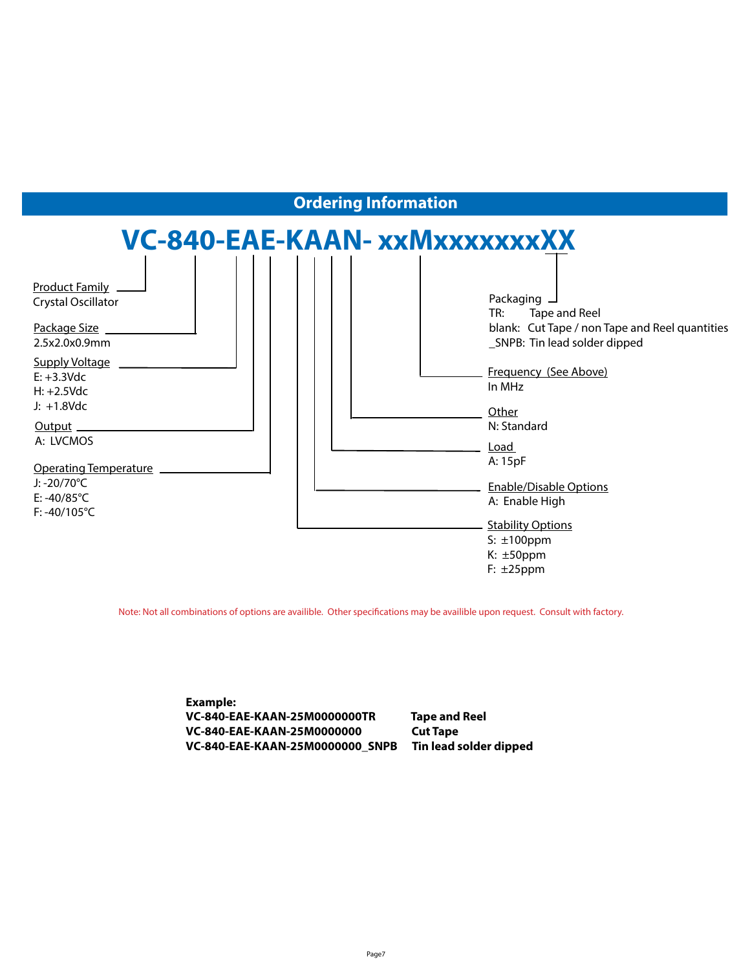

Note: Not all combinations of options are availible. Other specifications may be availible upon request. Consult with factory.

**Example: VC-840-EAE-KAAN-25M0000000TR Tape and Reel VC-840-EAE-KAAN-25M0000000 Cut Tape VC-840-EAE-KAAN-25M0000000\_SNPB Tin lead solder dipped**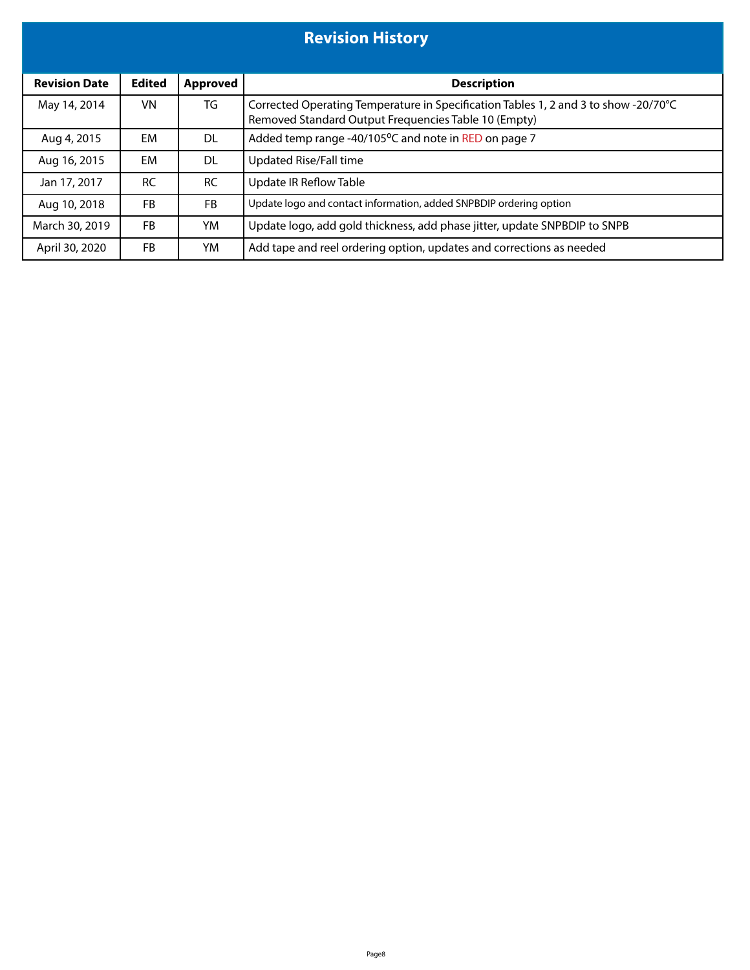| <b>Revision History</b> |               |                 |                                                                                                                                             |  |  |  |  |
|-------------------------|---------------|-----------------|---------------------------------------------------------------------------------------------------------------------------------------------|--|--|--|--|
| <b>Revision Date</b>    | <b>Edited</b> | <b>Approved</b> | <b>Description</b>                                                                                                                          |  |  |  |  |
| May 14, 2014            | VN            | TG              | Corrected Operating Temperature in Specification Tables 1, 2 and 3 to show -20/70°C<br>Removed Standard Output Frequencies Table 10 (Empty) |  |  |  |  |
| Aug 4, 2015             | EM            | DL              | Added temp range -40/105°C and note in RED on page 7                                                                                        |  |  |  |  |
| Aug 16, 2015            | EM            | DL.             | <b>Updated Rise/Fall time</b>                                                                                                               |  |  |  |  |
| Jan 17, 2017            | <b>RC</b>     | <b>RC</b>       | <b>Update IR Reflow Table</b>                                                                                                               |  |  |  |  |
| Aug 10, 2018            | <b>FB</b>     | FB              | Update logo and contact information, added SNPBDIP ordering option                                                                          |  |  |  |  |
| March 30, 2019          | <b>FB</b>     | YM              | Update logo, add gold thickness, add phase jitter, update SNPBDIP to SNPB                                                                   |  |  |  |  |
| April 30, 2020          | <b>FB</b>     | YM              | Add tape and reel ordering option, updates and corrections as needed                                                                        |  |  |  |  |